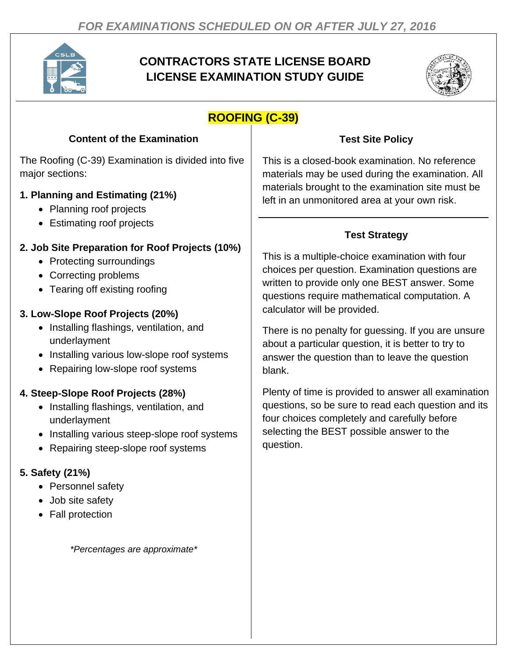

# **CONTRACTORS STATE LICENSE BOARD LICENSE EXAMINATION STUDY GUIDE**



## **ROOFING (C-39)**

#### **Content of the Examination**

The Roofing (C-39) Examination is divided into five major sections:

#### **1. Planning and Estimating (21%)**

- Planning roof projects
- Estimating roof projects

### **2. Job Site Preparation for Roof Projects (10%)**

- Protecting surroundings
- Correcting problems
- Tearing off existing roofing

### **3. Low-Slope Roof Projects (20%)**

- Installing flashings, ventilation, and underlayment
- Installing various low-slope roof systems
- Repairing low-slope roof systems

### **4. Steep-Slope Roof Projects (28%)**

- Installing flashings, ventilation, and underlayment
- Installing various steep-slope roof systems
- Repairing steep-slope roof systems

### **5. Safety (21%)**

- Personnel safety
- Job site safety
- Fall protection

*\*Percentages are approximate\**

#### **Test Site Policy**

This is a closed-book examination. No reference materials may be used during the examination. All materials brought to the examination site must be left in an unmonitored area at your own risk.

### **Test Strategy**

This is a multiple-choice examination with four choices per question. Examination questions are written to provide only one BEST answer. Some questions require mathematical computation. A calculator will be provided.

There is no penalty for guessing. If you are unsure about a particular question, it is better to try to answer the question than to leave the question blank.

Plenty of time is provided to answer all examination questions, so be sure to read each question and its four choices completely and carefully before selecting the BEST possible answer to the question.